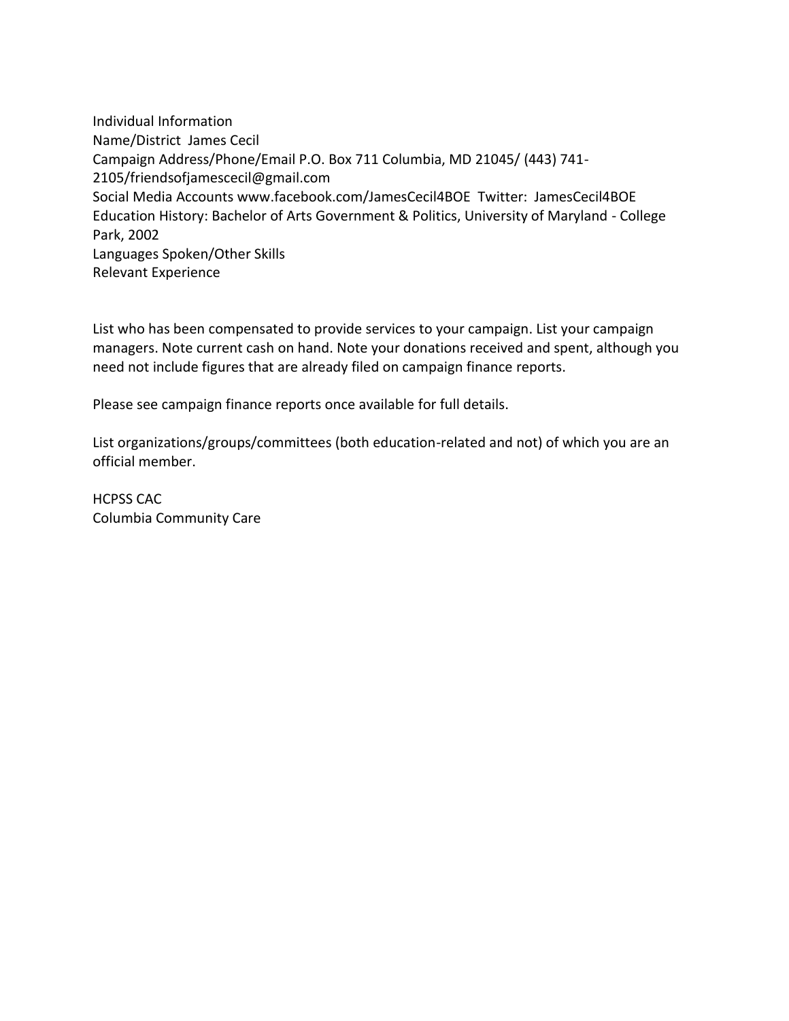Individual Information Name/District James Cecil Campaign Address/Phone/Email P.O. Box 711 Columbia, MD 21045/ (443) 741- 2105/friendsofjamescecil@gmail.com Social Media Accounts www.facebook.com/JamesCecil4BOE Twitter: JamesCecil4BOE Education History: Bachelor of Arts Government & Politics, University of Maryland - College Park, 2002 Languages Spoken/Other Skills Relevant Experience

List who has been compensated to provide services to your campaign. List your campaign managers. Note current cash on hand. Note your donations received and spent, although you need not include figures that are already filed on campaign finance reports.

Please see campaign finance reports once available for full details.

List organizations/groups/committees (both education-related and not) of which you are an official member.

HCPSS CAC Columbia Community Care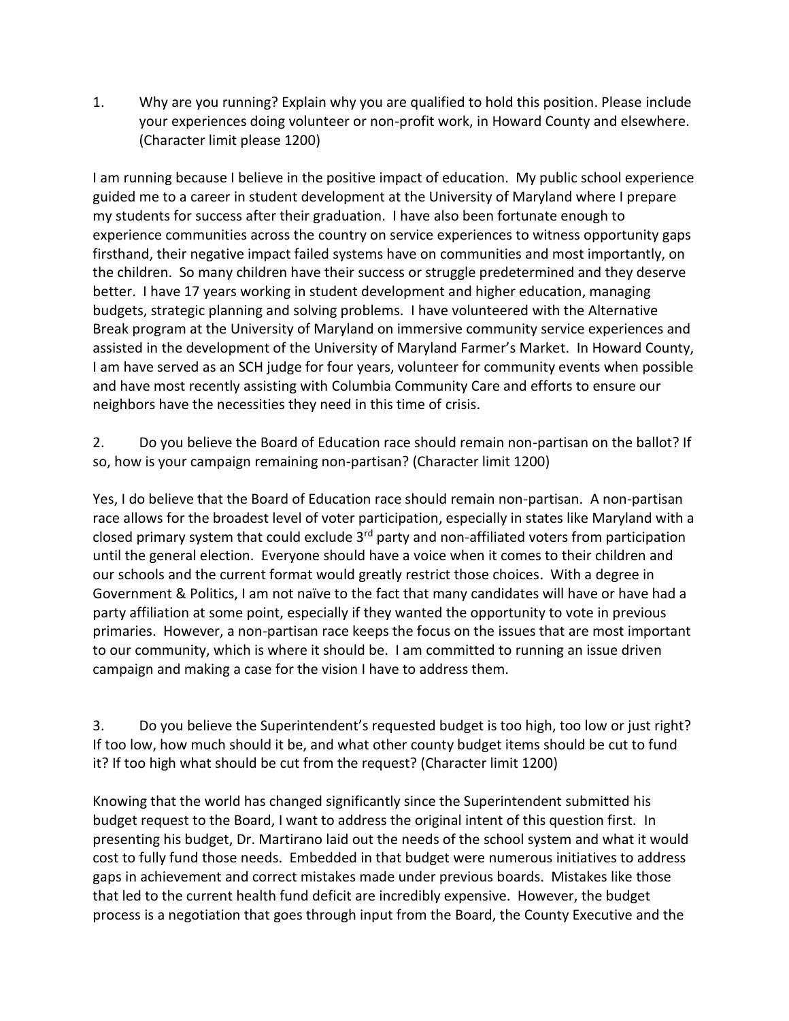1. Why are you running? Explain why you are qualified to hold this position. Please include your experiences doing volunteer or non-profit work, in Howard County and elsewhere. (Character limit please 1200)

I am running because I believe in the positive impact of education. My public school experience guided me to a career in student development at the University of Maryland where I prepare my students for success after their graduation. I have also been fortunate enough to experience communities across the country on service experiences to witness opportunity gaps firsthand, their negative impact failed systems have on communities and most importantly, on the children. So many children have their success or struggle predetermined and they deserve better. I have 17 years working in student development and higher education, managing budgets, strategic planning and solving problems. I have volunteered with the Alternative Break program at the University of Maryland on immersive community service experiences and assisted in the development of the University of Maryland Farmer's Market. In Howard County, I am have served as an SCH judge for four years, volunteer for community events when possible and have most recently assisting with Columbia Community Care and efforts to ensure our neighbors have the necessities they need in this time of crisis.

2. Do you believe the Board of Education race should remain non-partisan on the ballot? If so, how is your campaign remaining non-partisan? (Character limit 1200)

Yes, I do believe that the Board of Education race should remain non-partisan. A non-partisan race allows for the broadest level of voter participation, especially in states like Maryland with a closed primary system that could exclude 3<sup>rd</sup> party and non-affiliated voters from participation until the general election. Everyone should have a voice when it comes to their children and our schools and the current format would greatly restrict those choices. With a degree in Government & Politics, I am not naïve to the fact that many candidates will have or have had a party affiliation at some point, especially if they wanted the opportunity to vote in previous primaries. However, a non-partisan race keeps the focus on the issues that are most important to our community, which is where it should be. I am committed to running an issue driven campaign and making a case for the vision I have to address them.

3. Do you believe the Superintendent's requested budget is too high, too low or just right? If too low, how much should it be, and what other county budget items should be cut to fund it? If too high what should be cut from the request? (Character limit 1200)

Knowing that the world has changed significantly since the Superintendent submitted his budget request to the Board, I want to address the original intent of this question first. In presenting his budget, Dr. Martirano laid out the needs of the school system and what it would cost to fully fund those needs. Embedded in that budget were numerous initiatives to address gaps in achievement and correct mistakes made under previous boards. Mistakes like those that led to the current health fund deficit are incredibly expensive. However, the budget process is a negotiation that goes through input from the Board, the County Executive and the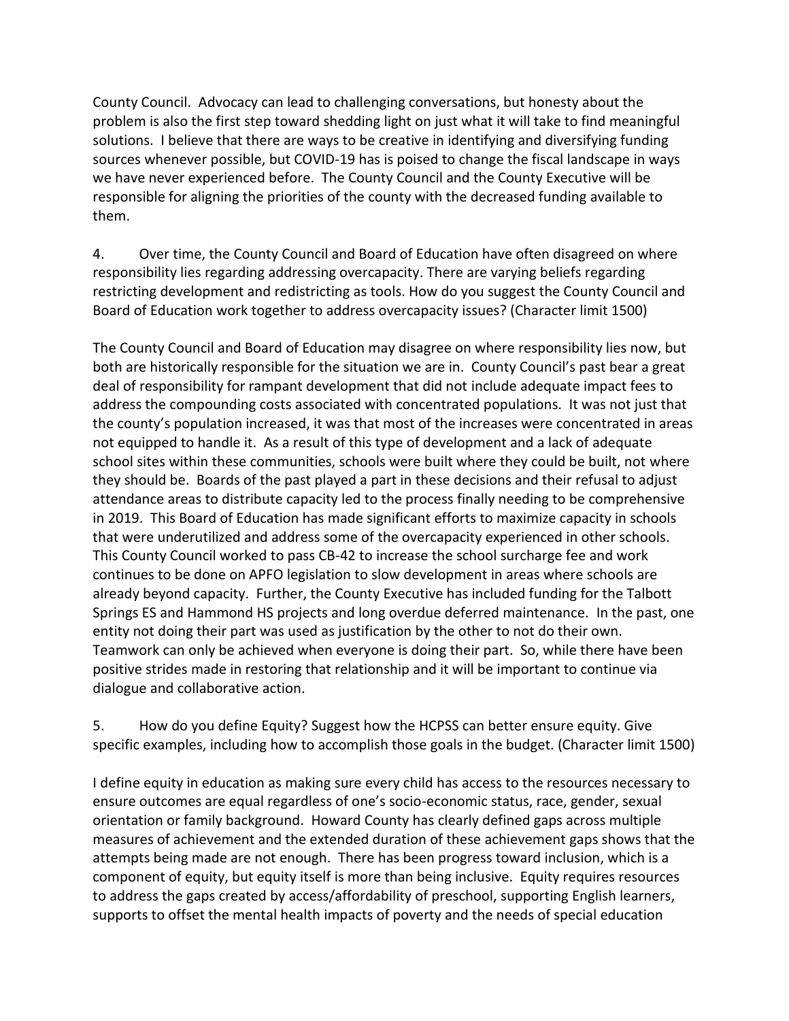County Council. Advocacy can lead to challenging conversations, but honesty about the problem is also the first step toward shedding light on just what it will take to find meaningful solutions. I believe that there are ways to be creative in identifying and diversifying funding sources whenever possible, but COVID-19 has is poised to change the fiscal landscape in ways we have never experienced before. The County Council and the County Executive will be responsible for aligning the priorities of the county with the decreased funding available to them.

4. Over time, the County Council and Board of Education have often disagreed on where responsibility lies regarding addressing overcapacity. There are varying beliefs regarding restricting development and redistricting as tools. How do you suggest the County Council and Board of Education work together to address overcapacity issues? (Character limit 1500)

The County Council and Board of Education may disagree on where responsibility lies now, but both are historically responsible for the situation we are in. County Council's past bear a great deal of responsibility for rampant development that did not include adequate impact fees to address the compounding costs associated with concentrated populations. It was not just that the county's population increased, it was that most of the increases were concentrated in areas not equipped to handle it. As a result of this type of development and a lack of adequate school sites within these communities, schools were built where they could be built, not where they should be. Boards of the past played a part in these decisions and their refusal to adjust attendance areas to distribute capacity led to the process finally needing to be comprehensive in 2019. This Board of Education has made significant efforts to maximize capacity in schools that were underutilized and address some of the overcapacity experienced in other schools. This County Council worked to pass CB-42 to increase the school surcharge fee and work continues to be done on APFO legislation to slow development in areas where schools are already beyond capacity. Further, the County Executive has included funding for the Talbott Springs ES and Hammond HS projects and long overdue deferred maintenance. In the past, one entity not doing their part was used as justification by the other to not do their own. Teamwork can only be achieved when everyone is doing their part. So, while there have been positive strides made in restoring that relationship and it will be important to continue via dialogue and collaborative action.

5. How do you define Equity? Suggest how the HCPSS can better ensure equity. Give specific examples, including how to accomplish those goals in the budget. (Character limit 1500)

I define equity in education as making sure every child has access to the resources necessary to ensure outcomes are equal regardless of one's socio-economic status, race, gender, sexual orientation or family background. Howard County has clearly defined gaps across multiple measures of achievement and the extended duration of these achievement gaps shows that the attempts being made are not enough. There has been progress toward inclusion, which is a component of equity, but equity itself is more than being inclusive. Equity requires resources to address the gaps created by access/affordability of preschool, supporting English learners, supports to offset the mental health impacts of poverty and the needs of special education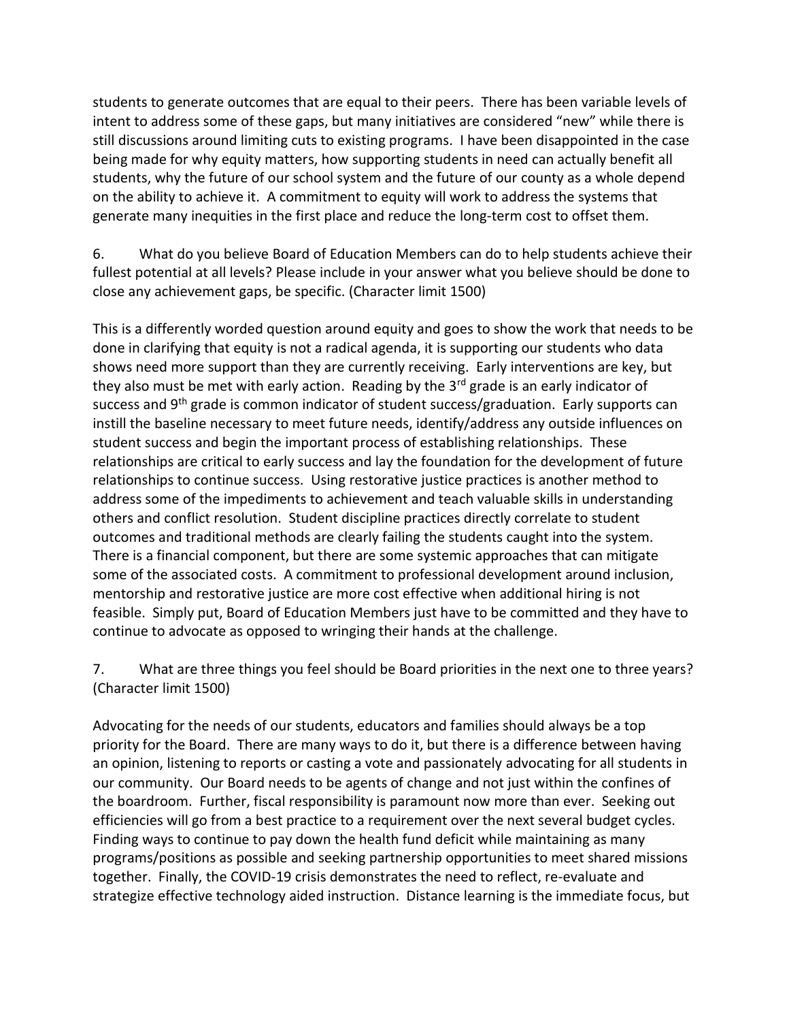students to generate outcomes that are equal to their peers. There has been variable levels of intent to address some of these gaps, but many initiatives are considered "new" while there is still discussions around limiting cuts to existing programs. I have been disappointed in the case being made for why equity matters, how supporting students in need can actually benefit all students, why the future of our school system and the future of our county as a whole depend on the ability to achieve it. A commitment to equity will work to address the systems that generate many inequities in the first place and reduce the long-term cost to offset them.

6. What do you believe Board of Education Members can do to help students achieve their fullest potential at all levels? Please include in your answer what you believe should be done to close any achievement gaps, be specific. (Character limit 1500)

This is a differently worded question around equity and goes to show the work that needs to be done in clarifying that equity is not a radical agenda, it is supporting our students who data shows need more support than they are currently receiving. Early interventions are key, but they also must be met with early action. Reading by the  $3<sup>rd</sup>$  grade is an early indicator of success and 9<sup>th</sup> grade is common indicator of student success/graduation. Early supports can instill the baseline necessary to meet future needs, identify/address any outside influences on student success and begin the important process of establishing relationships. These relationships are critical to early success and lay the foundation for the development of future relationships to continue success. Using restorative justice practices is another method to address some of the impediments to achievement and teach valuable skills in understanding others and conflict resolution. Student discipline practices directly correlate to student outcomes and traditional methods are clearly failing the students caught into the system. There is a financial component, but there are some systemic approaches that can mitigate some of the associated costs. A commitment to professional development around inclusion, mentorship and restorative justice are more cost effective when additional hiring is not feasible. Simply put, Board of Education Members just have to be committed and they have to continue to advocate as opposed to wringing their hands at the challenge.

7. What are three things you feel should be Board priorities in the next one to three years? (Character limit 1500)

Advocating for the needs of our students, educators and families should always be a top priority for the Board. There are many ways to do it, but there is a difference between having an opinion, listening to reports or casting a vote and passionately advocating for all students in our community. Our Board needs to be agents of change and not just within the confines of the boardroom. Further, fiscal responsibility is paramount now more than ever. Seeking out efficiencies will go from a best practice to a requirement over the next several budget cycles. Finding ways to continue to pay down the health fund deficit while maintaining as many programs/positions as possible and seeking partnership opportunities to meet shared missions together. Finally, the COVID-19 crisis demonstrates the need to reflect, re-evaluate and strategize effective technology aided instruction. Distance learning is the immediate focus, but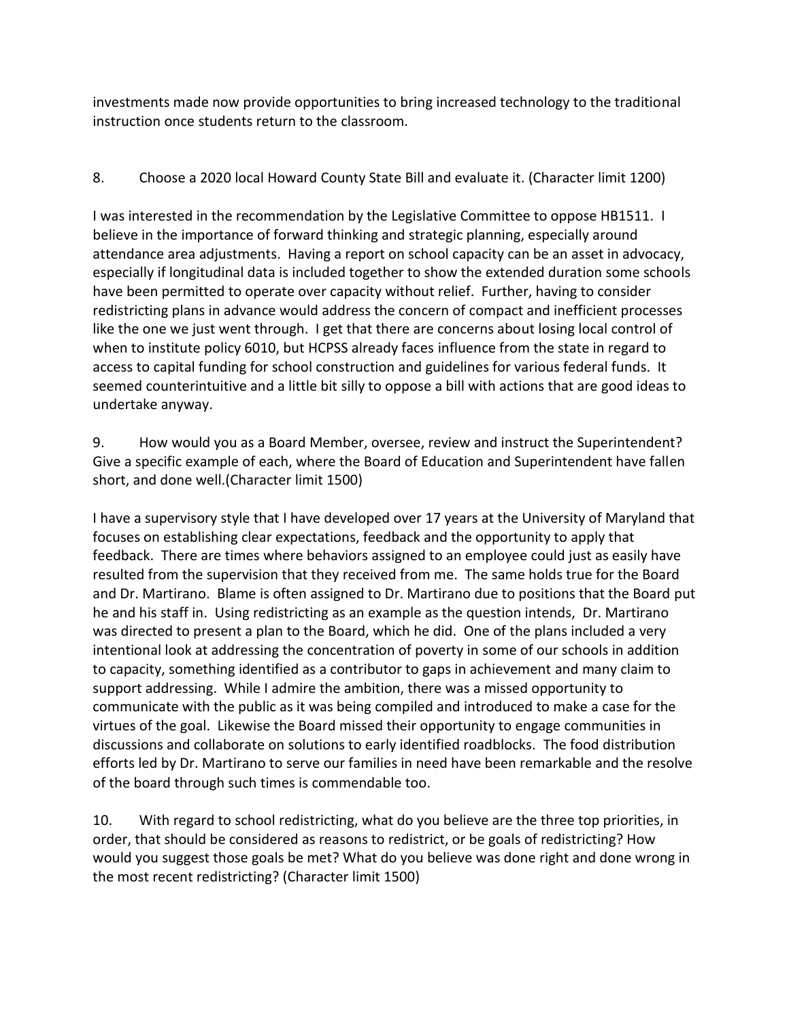investments made now provide opportunities to bring increased technology to the traditional instruction once students return to the classroom.

## 8. Choose a 2020 local Howard County State Bill and evaluate it. (Character limit 1200)

I was interested in the recommendation by the Legislative Committee to oppose HB1511. I believe in the importance of forward thinking and strategic planning, especially around attendance area adjustments. Having a report on school capacity can be an asset in advocacy, especially if longitudinal data is included together to show the extended duration some schools have been permitted to operate over capacity without relief. Further, having to consider redistricting plans in advance would address the concern of compact and inefficient processes like the one we just went through. I get that there are concerns about losing local control of when to institute policy 6010, but HCPSS already faces influence from the state in regard to access to capital funding for school construction and guidelines for various federal funds. It seemed counterintuitive and a little bit silly to oppose a bill with actions that are good ideas to undertake anyway.

9. How would you as a Board Member, oversee, review and instruct the Superintendent? Give a specific example of each, where the Board of Education and Superintendent have fallen short, and done well.(Character limit 1500)

I have a supervisory style that I have developed over 17 years at the University of Maryland that focuses on establishing clear expectations, feedback and the opportunity to apply that feedback. There are times where behaviors assigned to an employee could just as easily have resulted from the supervision that they received from me. The same holds true for the Board and Dr. Martirano. Blame is often assigned to Dr. Martirano due to positions that the Board put he and his staff in. Using redistricting as an example as the question intends, Dr. Martirano was directed to present a plan to the Board, which he did. One of the plans included a very intentional look at addressing the concentration of poverty in some of our schools in addition to capacity, something identified as a contributor to gaps in achievement and many claim to support addressing. While I admire the ambition, there was a missed opportunity to communicate with the public as it was being compiled and introduced to make a case for the virtues of the goal. Likewise the Board missed their opportunity to engage communities in discussions and collaborate on solutions to early identified roadblocks. The food distribution efforts led by Dr. Martirano to serve our families in need have been remarkable and the resolve of the board through such times is commendable too.

10. With regard to school redistricting, what do you believe are the three top priorities, in order, that should be considered as reasons to redistrict, or be goals of redistricting? How would you suggest those goals be met? What do you believe was done right and done wrong in the most recent redistricting? (Character limit 1500)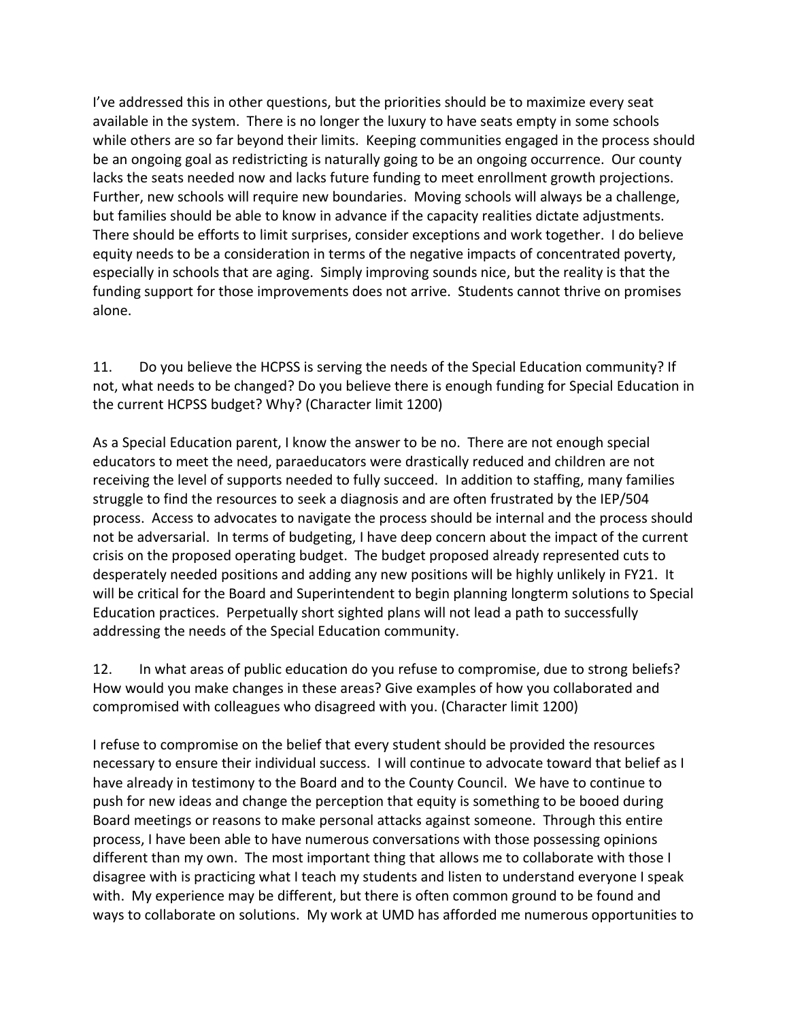I've addressed this in other questions, but the priorities should be to maximize every seat available in the system. There is no longer the luxury to have seats empty in some schools while others are so far beyond their limits. Keeping communities engaged in the process should be an ongoing goal as redistricting is naturally going to be an ongoing occurrence. Our county lacks the seats needed now and lacks future funding to meet enrollment growth projections. Further, new schools will require new boundaries. Moving schools will always be a challenge, but families should be able to know in advance if the capacity realities dictate adjustments. There should be efforts to limit surprises, consider exceptions and work together. I do believe equity needs to be a consideration in terms of the negative impacts of concentrated poverty, especially in schools that are aging. Simply improving sounds nice, but the reality is that the funding support for those improvements does not arrive. Students cannot thrive on promises alone.

11. Do you believe the HCPSS is serving the needs of the Special Education community? If not, what needs to be changed? Do you believe there is enough funding for Special Education in the current HCPSS budget? Why? (Character limit 1200)

As a Special Education parent, I know the answer to be no. There are not enough special educators to meet the need, paraeducators were drastically reduced and children are not receiving the level of supports needed to fully succeed. In addition to staffing, many families struggle to find the resources to seek a diagnosis and are often frustrated by the IEP/504 process. Access to advocates to navigate the process should be internal and the process should not be adversarial. In terms of budgeting, I have deep concern about the impact of the current crisis on the proposed operating budget. The budget proposed already represented cuts to desperately needed positions and adding any new positions will be highly unlikely in FY21. It will be critical for the Board and Superintendent to begin planning longterm solutions to Special Education practices. Perpetually short sighted plans will not lead a path to successfully addressing the needs of the Special Education community.

12. In what areas of public education do you refuse to compromise, due to strong beliefs? How would you make changes in these areas? Give examples of how you collaborated and compromised with colleagues who disagreed with you. (Character limit 1200)

I refuse to compromise on the belief that every student should be provided the resources necessary to ensure their individual success. I will continue to advocate toward that belief as I have already in testimony to the Board and to the County Council. We have to continue to push for new ideas and change the perception that equity is something to be booed during Board meetings or reasons to make personal attacks against someone. Through this entire process, I have been able to have numerous conversations with those possessing opinions different than my own. The most important thing that allows me to collaborate with those I disagree with is practicing what I teach my students and listen to understand everyone I speak with. My experience may be different, but there is often common ground to be found and ways to collaborate on solutions. My work at UMD has afforded me numerous opportunities to